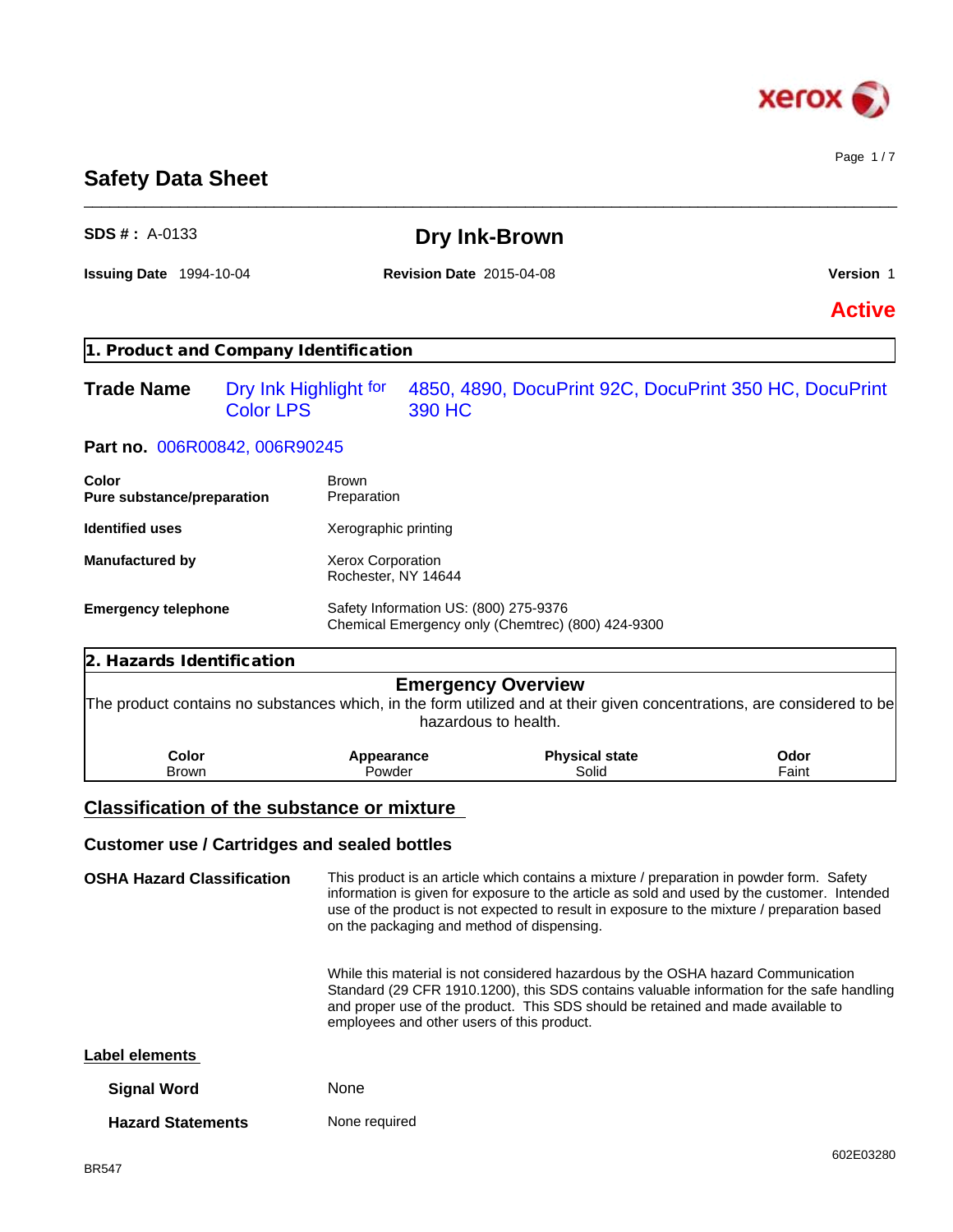

Page 1 / 7

# **Safety Data Sheet**

| <b>SDS #</b> : $A-0133$                             |                                           | Dry Ink-Brown                                     |                                                                                                                                                                      |                                                                                                                                                                                                                                                                                        |
|-----------------------------------------------------|-------------------------------------------|---------------------------------------------------|----------------------------------------------------------------------------------------------------------------------------------------------------------------------|----------------------------------------------------------------------------------------------------------------------------------------------------------------------------------------------------------------------------------------------------------------------------------------|
| Issuing Date 1994-10-04                             |                                           | <b>Revision Date 2015-04-08</b>                   |                                                                                                                                                                      | Version 1                                                                                                                                                                                                                                                                              |
|                                                     |                                           |                                                   |                                                                                                                                                                      | <b>Active</b>                                                                                                                                                                                                                                                                          |
| 1. Product and Company Identification               |                                           |                                                   |                                                                                                                                                                      |                                                                                                                                                                                                                                                                                        |
| <b>Trade Name</b>                                   | Dry Ink Highlight for<br><b>Color LPS</b> | 390 HC                                            |                                                                                                                                                                      | 4850, 4890, DocuPrint 92C, DocuPrint 350 HC, DocuPrint                                                                                                                                                                                                                                 |
| Part no. 006R00842, 006R90245                       |                                           |                                                   |                                                                                                                                                                      |                                                                                                                                                                                                                                                                                        |
| Color<br>Pure substance/preparation                 | <b>Brown</b><br>Preparation               |                                                   |                                                                                                                                                                      |                                                                                                                                                                                                                                                                                        |
| <b>Identified uses</b>                              | Xerographic printing                      |                                                   |                                                                                                                                                                      |                                                                                                                                                                                                                                                                                        |
| <b>Manufactured by</b>                              | Xerox Corporation<br>Rochester, NY 14644  |                                                   |                                                                                                                                                                      |                                                                                                                                                                                                                                                                                        |
| <b>Emergency telephone</b>                          |                                           | Safety Information US: (800) 275-9376             | Chemical Emergency only (Chemtrec) (800) 424-9300                                                                                                                    |                                                                                                                                                                                                                                                                                        |
| 2. Hazards Identification                           |                                           |                                                   |                                                                                                                                                                      |                                                                                                                                                                                                                                                                                        |
|                                                     |                                           | <b>Emergency Overview</b><br>hazardous to health. |                                                                                                                                                                      | The product contains no substances which, in the form utilized and at their given concentrations, are considered to be                                                                                                                                                                 |
| Color<br>Brown                                      | Appearance<br>Powder                      |                                                   | <b>Physical state</b><br>Solid                                                                                                                                       | Odor<br>Faint                                                                                                                                                                                                                                                                          |
| <b>Classification of the substance or mixture</b>   |                                           |                                                   |                                                                                                                                                                      |                                                                                                                                                                                                                                                                                        |
| <b>Customer use / Cartridges and sealed bottles</b> |                                           |                                                   |                                                                                                                                                                      |                                                                                                                                                                                                                                                                                        |
| <b>OSHA Hazard Classification</b>                   |                                           | on the packaging and method of dispensing.        |                                                                                                                                                                      | This product is an article which contains a mixture / preparation in powder form. Safety<br>information is given for exposure to the article as sold and used by the customer. Intended<br>use of the product is not expected to result in exposure to the mixture / preparation based |
|                                                     |                                           | employees and other users of this product.        | While this material is not considered hazardous by the OSHA hazard Communication<br>and proper use of the product. This SDS should be retained and made available to | Standard (29 CFR 1910.1200), this SDS contains valuable information for the safe handling                                                                                                                                                                                              |
| Label elements                                      |                                           |                                                   |                                                                                                                                                                      |                                                                                                                                                                                                                                                                                        |
| <b>Signal Word</b>                                  | None                                      |                                                   |                                                                                                                                                                      |                                                                                                                                                                                                                                                                                        |
|                                                     |                                           |                                                   |                                                                                                                                                                      |                                                                                                                                                                                                                                                                                        |

\_\_\_\_\_\_\_\_\_\_\_\_\_\_\_\_\_\_\_\_\_\_\_\_\_\_\_\_\_\_\_\_\_\_\_\_\_\_\_\_\_\_\_\_\_\_\_\_\_\_\_\_\_\_\_\_\_\_\_\_\_\_\_\_\_\_\_\_\_\_\_\_\_\_\_\_\_\_\_\_\_\_\_\_\_\_\_\_\_\_\_\_\_\_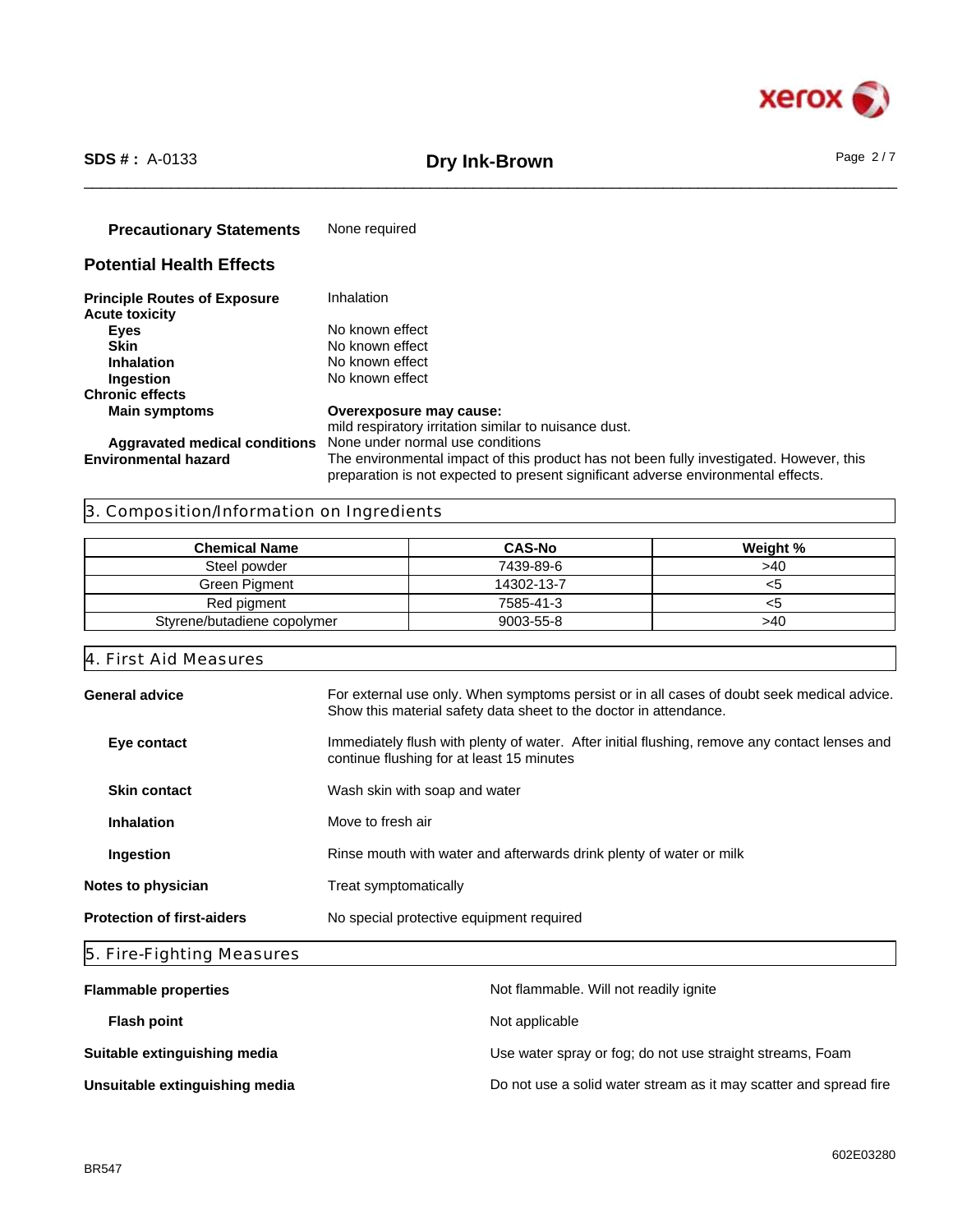

# \_\_\_\_\_\_\_\_\_\_\_\_\_\_\_\_\_\_\_\_\_\_\_\_\_\_\_\_\_\_\_\_\_\_\_\_\_\_\_\_\_\_\_\_\_\_\_\_\_\_\_\_\_\_\_\_\_\_\_\_\_\_\_\_\_\_\_\_\_\_\_\_\_\_\_\_\_\_\_\_\_\_\_\_\_\_\_\_\_\_\_\_\_\_ **SDS # :** A-0133 **Dry Ink-Brown** Page 2 / 7

**Precautionary Statements** None required

# **Potential Health Effects**

| <b>Principle Routes of Exposure</b>  | Inhalation                                                                                                                                                                   |
|--------------------------------------|------------------------------------------------------------------------------------------------------------------------------------------------------------------------------|
| <b>Acute toxicity</b>                |                                                                                                                                                                              |
| Eyes                                 | No known effect                                                                                                                                                              |
| Skin                                 | No known effect                                                                                                                                                              |
| <b>Inhalation</b>                    | No known effect                                                                                                                                                              |
| <b>Ingestion</b>                     | No known effect                                                                                                                                                              |
| <b>Chronic effects</b>               |                                                                                                                                                                              |
| <b>Main symptoms</b>                 | Overexposure may cause:                                                                                                                                                      |
|                                      | mild respiratory irritation similar to nuisance dust.                                                                                                                        |
| <b>Aggravated medical conditions</b> | None under normal use conditions                                                                                                                                             |
| <b>Environmental hazard</b>          | The environmental impact of this product has not been fully investigated. However, this<br>preparation is not expected to present significant adverse environmental effects. |

# 3. Composition/Information on Ingredients

| <b>Chemical Name</b>        | <b>CAS-No</b> | Weight % |
|-----------------------------|---------------|----------|
| Steel powder                | 7439-89-6     | >40      |
| Green Pigment               | 14302-13-7    | <ວ       |
| Red pigment                 | 7585-41-3     | <ວ       |
| Styrene/butadiene copolymer | 9003-55-8     | >40      |

4. First Aid Measures

| General advice                    | For external use only. When symptoms persist or in all cases of doubt seek medical advice.<br>Show this material safety data sheet to the doctor in attendance. |
|-----------------------------------|-----------------------------------------------------------------------------------------------------------------------------------------------------------------|
| Eye contact                       | Immediately flush with plenty of water. After initial flushing, remove any contact lenses and<br>continue flushing for at least 15 minutes                      |
| <b>Skin contact</b>               | Wash skin with soap and water                                                                                                                                   |
| <b>Inhalation</b>                 | Move to fresh air                                                                                                                                               |
| Ingestion                         | Rinse mouth with water and afterwards drink plenty of water or milk                                                                                             |
| Notes to physician                | Treat symptomatically                                                                                                                                           |
| <b>Protection of first-aiders</b> | No special protective equipment required                                                                                                                        |
|                                   |                                                                                                                                                                 |

# 5. Fire-Fighting Measures

| <b>Flammable properties</b>    | Not flammable. Will not readily ignite                            |
|--------------------------------|-------------------------------------------------------------------|
| <b>Flash point</b>             | Not applicable                                                    |
| Suitable extinguishing media   | Use water spray or fog; do not use straight streams, Foam         |
| Unsuitable extinguishing media | Do not use a solid water stream as it may scatter and spread fire |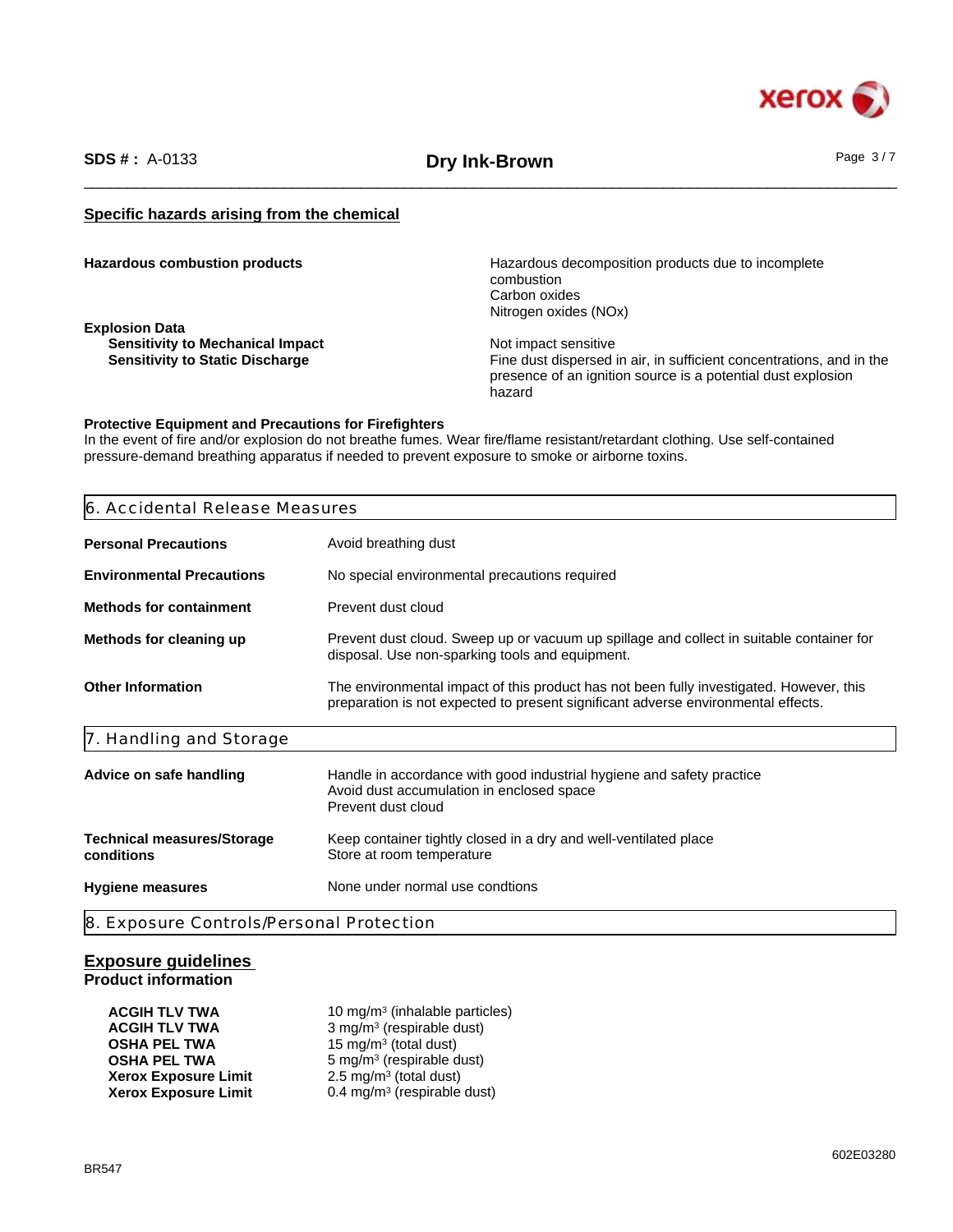

\_\_\_\_\_\_\_\_\_\_\_\_\_\_\_\_\_\_\_\_\_\_\_\_\_\_\_\_\_\_\_\_\_\_\_\_\_\_\_\_\_\_\_\_\_\_\_\_\_\_\_\_\_\_\_\_\_\_\_\_\_\_\_\_\_\_\_\_\_\_\_\_\_\_\_\_\_\_\_\_\_\_\_\_\_\_\_\_\_\_\_\_\_\_ **SDS # :** A-0133 **Dry Ink-Brown** Page 3 / 7

# **Specific hazards arising from the chemical**

**Explosion Data Sensitivity to Mechanical Impact**<br> **Sensitivity to Static Discharge**<br> **Sensitivity to Static Discharge** 

**Hazardous combustion products Hazardous decomposition products due to incomplete** combustion Carbon oxides Nitrogen oxides (NOx)

> Fine dust dispersed in air, in sufficient concentrations, and in the presence of an ignition source is a potential dust explosion hazard

#### **Protective Equipment and Precautions for Firefighters**

In the event of fire and/or explosion do not breathe fumes. Wear fire/flame resistant/retardant clothing. Use self-contained pressure-demand breathing apparatus if needed to prevent exposure to smoke or airborne toxins.

| 6. Accidental Release Measures                  |                                                                                                                                                                              |  |
|-------------------------------------------------|------------------------------------------------------------------------------------------------------------------------------------------------------------------------------|--|
| <b>Personal Precautions</b>                     | Avoid breathing dust                                                                                                                                                         |  |
| <b>Environmental Precautions</b>                | No special environmental precautions required                                                                                                                                |  |
| <b>Methods for containment</b>                  | Prevent dust cloud                                                                                                                                                           |  |
| Methods for cleaning up                         | Prevent dust cloud. Sweep up or vacuum up spillage and collect in suitable container for<br>disposal. Use non-sparking tools and equipment.                                  |  |
| <b>Other Information</b>                        | The environmental impact of this product has not been fully investigated. However, this<br>preparation is not expected to present significant adverse environmental effects. |  |
| 7. Handling and Storage                         |                                                                                                                                                                              |  |
| Advice on safe handling                         | Handle in accordance with good industrial hygiene and safety practice<br>Avoid dust accumulation in enclosed space<br>Prevent dust cloud                                     |  |
| <b>Technical measures/Storage</b><br>conditions | Keep container tightly closed in a dry and well-ventilated place<br>Store at room temperature                                                                                |  |
| <b>Hygiene measures</b>                         | None under normal use condtions                                                                                                                                              |  |

#### **Exposure guidelines Product information**

| ACGIH TLV TWA        | 10 mg/m <sup>3</sup> (inhalable particles) |  |
|----------------------|--------------------------------------------|--|
| ACGIH TLV TWA        | 3 mg/m <sup>3</sup> (respirable dust)      |  |
| OSHA PEL TWA         | 15 mg/m <sup>3</sup> (total dust)          |  |
| OSHA PEL TWA         | 5 mg/m <sup>3</sup> (respirable dust)      |  |
| Xerox Exposure Limit | $2.5 \text{ mg/m}^3$ (total dust)          |  |
| Xerox Exposure Limit | 0.4 mg/m <sup>3</sup> (respirable dust)    |  |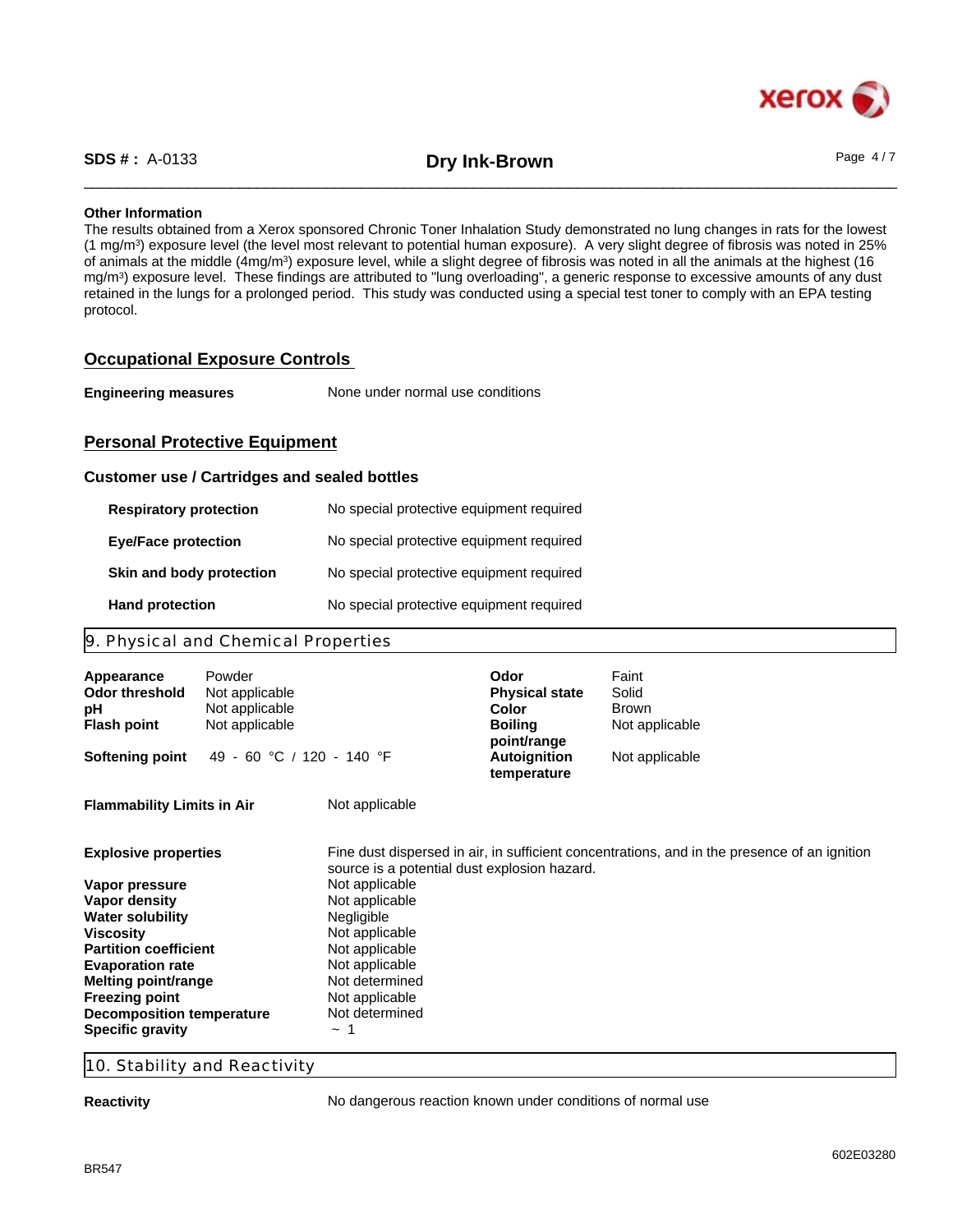

\_\_\_\_\_\_\_\_\_\_\_\_\_\_\_\_\_\_\_\_\_\_\_\_\_\_\_\_\_\_\_\_\_\_\_\_\_\_\_\_\_\_\_\_\_\_\_\_\_\_\_\_\_\_\_\_\_\_\_\_\_\_\_\_\_\_\_\_\_\_\_\_\_\_\_\_\_\_\_\_\_\_\_\_\_\_\_\_\_\_\_\_\_\_ **SDS # :** A-0133 **Dry Ink-Brown** Page 4 / 7

#### **Other Information**

The results obtained from a Xerox sponsored Chronic Toner Inhalation Study demonstrated no lung changes in rats for the lowest (1 mg/m<sup>3</sup> ) exposure level (the level most relevant to potential human exposure). A very slight degree of fibrosis was noted in 25% of animals at the middle (4mg/m<sup>3</sup>) exposure level, while a slight degree of fibrosis was noted in all the animals at the highest (16 mg/m<sup>3</sup> ) exposure level. These findings are attributed to "lung overloading", a generic response to excessive amounts of any dust retained in the lungs for a prolonged period. This study was conducted using a special test toner to comply with an EPA testing protocol.

# **Occupational Exposure Controls**

| <b>Engineering measures</b> | None under normal use conditions |  |
|-----------------------------|----------------------------------|--|
|-----------------------------|----------------------------------|--|

# **Personal Protective Equipment**

#### **Customer use / Cartridges and sealed bottles**

| <b>Respiratory protection</b> | No special protective equipment required |
|-------------------------------|------------------------------------------|
| <b>Eye/Face protection</b>    | No special protective equipment required |
| Skin and body protection      | No special protective equipment required |
| <b>Hand protection</b>        | No special protective equipment required |

# 9. Physical and Chemical Properties

| Appearance<br><b>Odor threshold</b><br>рH<br><b>Flash point</b> | Powder<br>Not applicable<br>Not applicable<br>Not applicable |                                              | Odor<br><b>Physical state</b><br>Color<br><b>Boiling</b> | Faint<br>Solid<br>Brown<br>Not applicable                                                    |
|-----------------------------------------------------------------|--------------------------------------------------------------|----------------------------------------------|----------------------------------------------------------|----------------------------------------------------------------------------------------------|
| <b>Softening point</b>                                          | 49 - 60 °C / 120 - 140 °F                                    |                                              | point/range<br><b>Autoignition</b><br>temperature        | Not applicable                                                                               |
| <b>Flammability Limits in Air</b>                               |                                                              | Not applicable                               |                                                          |                                                                                              |
| <b>Explosive properties</b>                                     |                                                              | source is a potential dust explosion hazard. |                                                          | Fine dust dispersed in air, in sufficient concentrations, and in the presence of an ignition |
| Vapor pressure                                                  |                                                              | Not applicable                               |                                                          |                                                                                              |
|                                                                 |                                                              |                                              |                                                          |                                                                                              |
| Vapor density                                                   |                                                              | Not applicable                               |                                                          |                                                                                              |
| <b>Water solubility</b>                                         |                                                              | Negligible                                   |                                                          |                                                                                              |
| <b>Viscosity</b>                                                |                                                              | Not applicable                               |                                                          |                                                                                              |
| <b>Partition coefficient</b>                                    |                                                              | Not applicable                               |                                                          |                                                                                              |
| <b>Evaporation rate</b>                                         |                                                              | Not applicable                               |                                                          |                                                                                              |
| Melting point/range                                             |                                                              | Not determined                               |                                                          |                                                                                              |
| <b>Freezing point</b><br><b>Decomposition temperature</b>       |                                                              | Not applicable<br>Not determined             |                                                          |                                                                                              |

# 10. Stability and Reactivity

**Reactivity Reactivity No dangerous reaction known under conditions of normal use**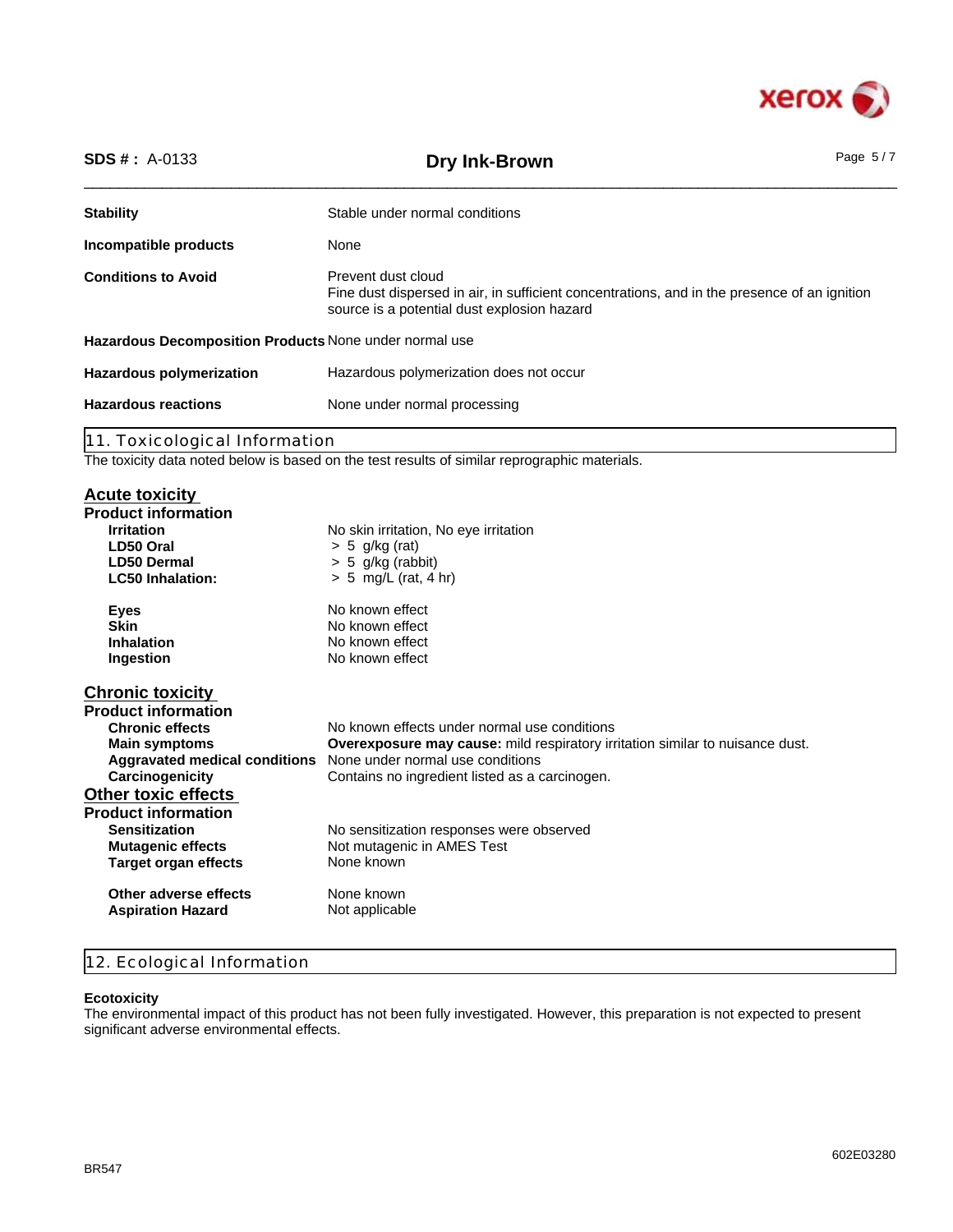

| <b>SDS #</b> : $A-0133$                                | Dry Ink-Brown                                                                                                                                                     | Page $5/7$ |  |
|--------------------------------------------------------|-------------------------------------------------------------------------------------------------------------------------------------------------------------------|------------|--|
| <b>Stability</b>                                       | Stable under normal conditions                                                                                                                                    |            |  |
| Incompatible products                                  | None                                                                                                                                                              |            |  |
| <b>Conditions to Avoid</b>                             | Prevent dust cloud<br>Fine dust dispersed in air, in sufficient concentrations, and in the presence of an ignition<br>source is a potential dust explosion hazard |            |  |
| Hazardous Decomposition Products None under normal use |                                                                                                                                                                   |            |  |
| <b>Hazardous polymerization</b>                        | Hazardous polymerization does not occur                                                                                                                           |            |  |
| <b>Hazardous reactions</b>                             | None under normal processing                                                                                                                                      |            |  |
|                                                        |                                                                                                                                                                   |            |  |

11. Toxicological Information

The toxicity data noted below is based on the test results of similar reprographic materials.

# **Acute toxicity**

| $> 5$ g/kg (rat)<br>LD50 Oral<br>$> 5$ g/kg (rabbit)<br><b>LD50 Dermal</b><br>$> 5$ mg/L (rat, 4 hr)<br><b>LC50 Inhalation:</b><br>No known effect<br><b>Eyes</b><br><b>Skin</b><br>No known effect<br><b>Inhalation</b><br>No known effect<br>No known effect<br>Ingestion<br><b>Chronic effects</b><br>No known effects under normal use conditions<br><b>Main symptoms</b><br><b>Overexposure may cause:</b> mild respiratory irritation similar to nuisance dust.<br>None under normal use conditions<br>Aggravated medical conditions<br>Carcinogenicity<br>Contains no ingredient listed as a carcinogen.<br><b>Sensitization</b><br>No sensitization responses were observed<br><b>Mutagenic effects</b><br>Not mutagenic in AMES Test<br>None known<br>Target organ effects<br>None known<br>Other adverse effects<br><b>Aspiration Hazard</b><br>Not applicable | <b>Product information</b><br><b>Irritation</b> | No skin irritation, No eye irritation |
|--------------------------------------------------------------------------------------------------------------------------------------------------------------------------------------------------------------------------------------------------------------------------------------------------------------------------------------------------------------------------------------------------------------------------------------------------------------------------------------------------------------------------------------------------------------------------------------------------------------------------------------------------------------------------------------------------------------------------------------------------------------------------------------------------------------------------------------------------------------------------|-------------------------------------------------|---------------------------------------|
|                                                                                                                                                                                                                                                                                                                                                                                                                                                                                                                                                                                                                                                                                                                                                                                                                                                                          |                                                 |                                       |
|                                                                                                                                                                                                                                                                                                                                                                                                                                                                                                                                                                                                                                                                                                                                                                                                                                                                          |                                                 |                                       |
|                                                                                                                                                                                                                                                                                                                                                                                                                                                                                                                                                                                                                                                                                                                                                                                                                                                                          |                                                 |                                       |
|                                                                                                                                                                                                                                                                                                                                                                                                                                                                                                                                                                                                                                                                                                                                                                                                                                                                          |                                                 |                                       |
|                                                                                                                                                                                                                                                                                                                                                                                                                                                                                                                                                                                                                                                                                                                                                                                                                                                                          |                                                 |                                       |
|                                                                                                                                                                                                                                                                                                                                                                                                                                                                                                                                                                                                                                                                                                                                                                                                                                                                          |                                                 |                                       |
|                                                                                                                                                                                                                                                                                                                                                                                                                                                                                                                                                                                                                                                                                                                                                                                                                                                                          |                                                 |                                       |
|                                                                                                                                                                                                                                                                                                                                                                                                                                                                                                                                                                                                                                                                                                                                                                                                                                                                          | <b>Chronic toxicity</b>                         |                                       |
|                                                                                                                                                                                                                                                                                                                                                                                                                                                                                                                                                                                                                                                                                                                                                                                                                                                                          | <b>Product information</b>                      |                                       |
|                                                                                                                                                                                                                                                                                                                                                                                                                                                                                                                                                                                                                                                                                                                                                                                                                                                                          |                                                 |                                       |
|                                                                                                                                                                                                                                                                                                                                                                                                                                                                                                                                                                                                                                                                                                                                                                                                                                                                          |                                                 |                                       |
|                                                                                                                                                                                                                                                                                                                                                                                                                                                                                                                                                                                                                                                                                                                                                                                                                                                                          |                                                 |                                       |
|                                                                                                                                                                                                                                                                                                                                                                                                                                                                                                                                                                                                                                                                                                                                                                                                                                                                          |                                                 |                                       |
|                                                                                                                                                                                                                                                                                                                                                                                                                                                                                                                                                                                                                                                                                                                                                                                                                                                                          | <b>Other toxic effects</b>                      |                                       |
|                                                                                                                                                                                                                                                                                                                                                                                                                                                                                                                                                                                                                                                                                                                                                                                                                                                                          | <b>Product information</b>                      |                                       |
|                                                                                                                                                                                                                                                                                                                                                                                                                                                                                                                                                                                                                                                                                                                                                                                                                                                                          |                                                 |                                       |
|                                                                                                                                                                                                                                                                                                                                                                                                                                                                                                                                                                                                                                                                                                                                                                                                                                                                          |                                                 |                                       |
|                                                                                                                                                                                                                                                                                                                                                                                                                                                                                                                                                                                                                                                                                                                                                                                                                                                                          |                                                 |                                       |
|                                                                                                                                                                                                                                                                                                                                                                                                                                                                                                                                                                                                                                                                                                                                                                                                                                                                          |                                                 |                                       |
|                                                                                                                                                                                                                                                                                                                                                                                                                                                                                                                                                                                                                                                                                                                                                                                                                                                                          |                                                 |                                       |

# 12. Ecological Information

# **Ecotoxicity**

The environmental impact of this product has not been fully investigated. However, this preparation is not expected to present significant adverse environmental effects.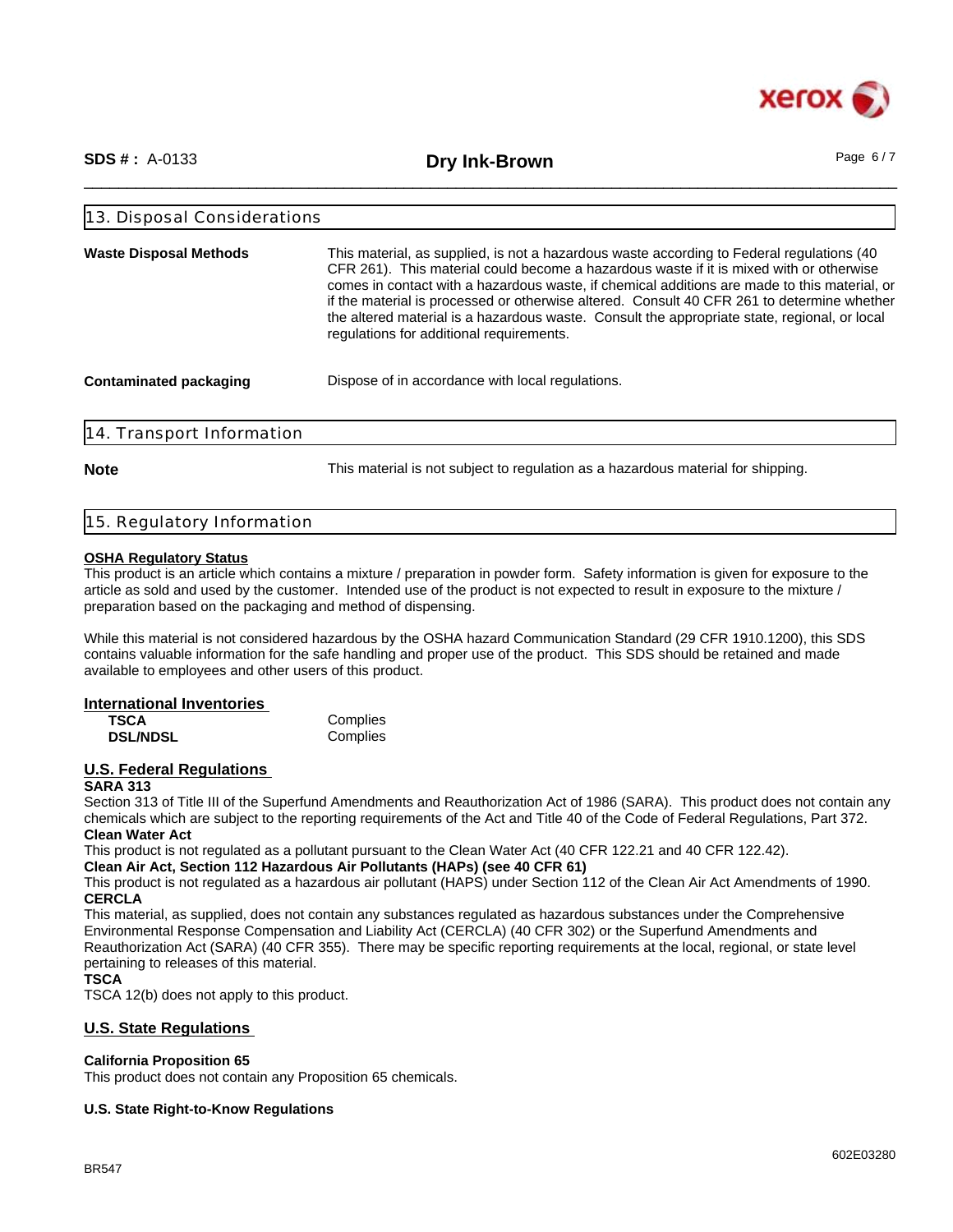

\_\_\_\_\_\_\_\_\_\_\_\_\_\_\_\_\_\_\_\_\_\_\_\_\_\_\_\_\_\_\_\_\_\_\_\_\_\_\_\_\_\_\_\_\_\_\_\_\_\_\_\_\_\_\_\_\_\_\_\_\_\_\_\_\_\_\_\_\_\_\_\_\_\_\_\_\_\_\_\_\_\_\_\_\_\_\_\_\_\_\_\_\_\_ **SDS # :** A-0133 **Dry Ink-Brown** Page 6 / 7

| 13. Disposal Considerations   |                                                                                                                                                                                                                                                                                                                                                                                                                                                                                                                                 |  |
|-------------------------------|---------------------------------------------------------------------------------------------------------------------------------------------------------------------------------------------------------------------------------------------------------------------------------------------------------------------------------------------------------------------------------------------------------------------------------------------------------------------------------------------------------------------------------|--|
| <b>Waste Disposal Methods</b> | This material, as supplied, is not a hazardous waste according to Federal regulations (40)<br>CFR 261). This material could become a hazardous waste if it is mixed with or otherwise<br>comes in contact with a hazardous waste, if chemical additions are made to this material, or<br>if the material is processed or otherwise altered. Consult 40 CFR 261 to determine whether<br>the altered material is a hazardous waste. Consult the appropriate state, regional, or local<br>regulations for additional requirements. |  |
| Contaminated packaging        | Dispose of in accordance with local regulations.                                                                                                                                                                                                                                                                                                                                                                                                                                                                                |  |
| 14. Transport Information     |                                                                                                                                                                                                                                                                                                                                                                                                                                                                                                                                 |  |

**Note** This material is not subject to regulation as a hazardous material for shipping.

## 15. Regulatory Information

### **OSHA Regulatory Status**

This product is an article which contains a mixture / preparation in powder form. Safety information is given for exposure to the article as sold and used by the customer. Intended use of the product is not expected to result in exposure to the mixture / preparation based on the packaging and method of dispensing.

While this material is not considered hazardous by the OSHA hazard Communication Standard (29 CFR 1910.1200), this SDS contains valuable information for the safe handling and proper use of the product. This SDS should be retained and made available to employees and other users of this product.

#### **International Inventories**

| TSCA            | Complies |
|-----------------|----------|
| <b>DSL/NDSL</b> | Complies |

#### **U.S. Federal Regulations SARA 313**

Section 313 of Title III of the Superfund Amendments and Reauthorization Act of 1986 (SARA). This product does not contain any chemicals which are subject to the reporting requirements of the Act and Title 40 of the Code of Federal Regulations, Part 372. **Clean Water Act**

This product is not regulated as a pollutant pursuant to the Clean Water Act (40 CFR 122.21 and 40 CFR 122.42).

## **Clean Air Act, Section 112 Hazardous Air Pollutants (HAPs) (see 40 CFR 61)**

This product is not regulated as a hazardous air pollutant (HAPS) under Section 112 of the Clean Air Act Amendments of 1990. **CERCLA**

This material, as supplied, does not contain any substances regulated as hazardous substances under the Comprehensive Environmental Response Compensation and Liability Act (CERCLA) (40 CFR 302) or the Superfund Amendments and Reauthorization Act (SARA) (40 CFR 355). There may be specific reporting requirements at the local, regional, or state level pertaining to releases of this material.

**TSCA**

TSCA 12(b) does not apply to this product.

# **U.S. State Regulations**

## **California Proposition 65**

This product does not contain any Proposition 65 chemicals.

## **U.S. State Right-to-Know Regulations**